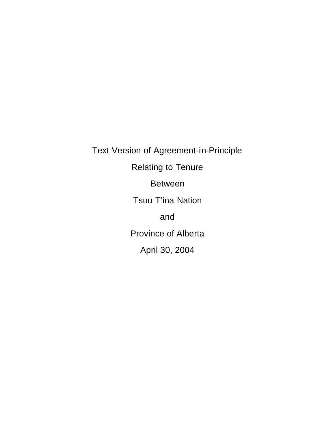Text Version of Agreement-in-Principle Relating to Tenure Between Tsuu T'ina Nation and Province of Alberta April 30, 2004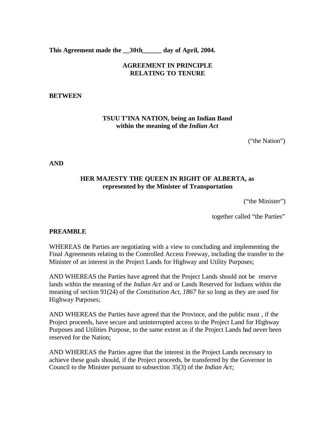**This Agreement made the \_\_30th\_\_\_\_\_\_ day of April, 2004.**

## **AGREEMENT IN PRINCIPLE RELATING TO TENURE**

### **BETWEEN**

### **TSUU T'INA NATION, being an Indian Band within the meaning of the** *Indian Act*

("the Nation")

**AND**

## **HER MAJESTY THE QUEEN IN RIGHT OF ALBERTA, as represented by the Minister of Transportation**

("the Minister")

together called "the Parties"

### **PREAMBLE**

WHEREAS the Parties are negotiating with a view to concluding and implementing the Final Agreements relating to the Controlled Access Freeway, including the transfer to the Minister of an interest in the Project Lands for Highway and Utility Purposes;

AND WHEREAS the Parties have agreed that the Project Lands should not be reserve lands within the meaning of the *Indian Act* and or Lands Reserved for Indians within the meaning of section 91(24) of the *Constitution Act, 1867* for so long as they are used for Highway Purposes;

AND WHEREAS the Parties have agreed that the Province, and the public must , if the Project proceeds, have secure and uninterrupted access to the Project Land for Highway Purposes and Utilities Purpose, to the same extent as if the Project Lands had never been reserved for the Nation;

AND WHEREAS the Parties agree that the interest in the Project Lands necessary to achieve these goals should, if the Project proceeds, be transferred by the Governor in Council to the Minister pursuant to subsection 35(3) of the *Indian Act*;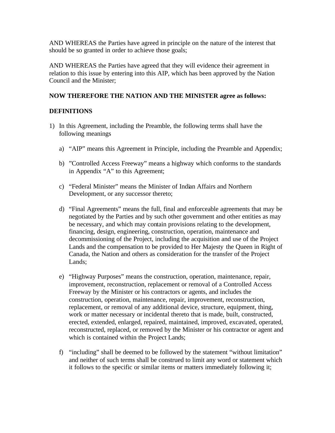AND WHEREAS the Parties have agreed in principle on the nature of the interest that should be so granted in order to achieve those goals;

AND WHEREAS the Parties have agreed that they will evidence their agreement in relation to this issue by entering into this AIP, which has been approved by the Nation Council and the Minister;

### **NOW THEREFORE THE NATION AND THE MINISTER agree as follows:**

### **DEFINITIONS**

- 1) In this Agreement, including the Preamble, the following terms shall have the following meanings
	- a) "AIP" means this Agreement in Principle, including the Preamble and Appendix;
	- b) "Controlled Access Freeway" means a highway which conforms to the standards in Appendix "A" to this Agreement;
	- c) "Federal Minister" means the Minister of Indian Affairs and Northern Development, or any successor thereto;
	- d) "Final Agreements" means the full, final and enforceable agreements that may be negotiated by the Parties and by such other government and other entities as may be necessary, and which may contain provisions relating to the development, financing, design, engineering, construction, operation, maintenance and decommissioning of the Project, including the acquisition and use of the Project Lands and the compensation to be provided to Her Majesty the Queen in Right of Canada, the Nation and others as consideration for the transfer of the Project Lands;
	- e) "Highway Purposes" means the construction, operation, maintenance, repair, improvement, reconstruction, replacement or removal of a Controlled Access Freeway by the Minister or his contractors or agents, and includes the construction, operation, maintenance, repair, improvement, reconstruction, replacement, or removal of any additional device, structure, equipment, thing, work or matter necessary or incidental thereto that is made, built, constructed, erected, extended, enlarged, repaired, maintained, improved, excavated, operated, reconstructed, replaced, or removed by the Minister or his contractor or agent and which is contained within the Project Lands;
	- f) "including" shall be deemed to be followed by the statement "without limitation" and neither of such terms shall be construed to limit any word or statement which it follows to the specific or similar items or matters immediately following it;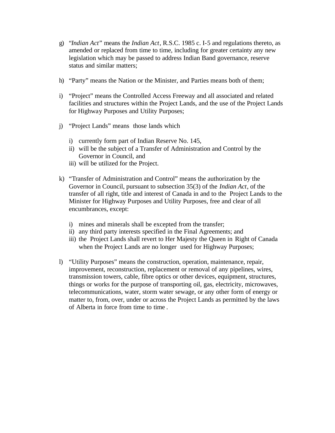- g) "*Indian Act*" means the *Indian Act*, R.S.C. 1985 c. I-5 and regulations thereto, as amended or replaced from time to time, including for greater certainty any new legislation which may be passed to address Indian Band governance, reserve status and similar matters;
- h) "Party" means the Nation or the Minister, and Parties means both of them;
- i) "Project" means the Controlled Access Freeway and all associated and related facilities and structures within the Project Lands, and the use of the Project Lands for Highway Purposes and Utility Purposes;
- j) "Project Lands" means those lands which
	- i) currently form part of Indian Reserve No. 145,
	- ii) will be the subject of a Transfer of Administration and Control by the Governor in Council, and
	- iii) will be utilized for the Project.
- k) "Transfer of Administration and Control" means the authorization by the Governor in Council, pursuant to subsection 35(3) of the *Indian Act*, of the transfer of all right, title and interest of Canada in and to the Project Lands to the Minister for Highway Purposes and Utility Purposes, free and clear of all encumbrances, except:
	- i) mines and minerals shall be excepted from the transfer;
	- ii) any third party interests specified in the Final Agreements; and
	- iii) the Project Lands shall revert to Her Majesty the Queen in Right of Canada when the Project Lands are no longer used for Highway Purposes;
- l) "Utility Purposes" means the construction, operation, maintenance, repair, improvement, reconstruction, replacement or removal of any pipelines, wires, transmission towers, cable, fibre optics or other devices, equipment, structures, things or works for the purpose of transporting oil, gas, electricity, microwaves, telecommunications, water, storm water sewage, or any other form of energy or matter to, from, over, under or across the Project Lands as permitted by the laws of Alberta in force from time to time *.*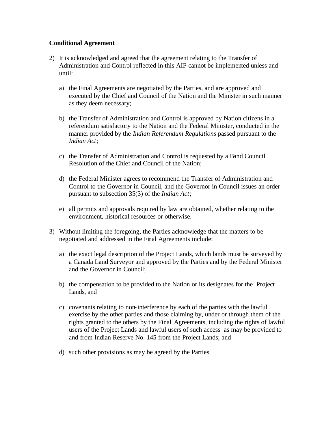### **Conditional Agreement**

- 2) It is acknowledged and agreed that the agreement relating to the Transfer of Administration and Control reflected in this AIP cannot be implemented unless and until:
	- a) the Final Agreements are negotiated by the Parties, and are approved and executed by the Chief and Council of the Nation and the Minister in such manner as they deem necessary;
	- b) the Transfer of Administration and Control is approved by Nation citizens in a referendum satisfactory to the Nation and the Federal Minister, conducted in the manner provided by the *Indian Referendum Regulations* passed pursuant to the *Indian Act*;
	- c) the Transfer of Administration and Control is requested by a Band Council Resolution of the Chief and Council of the Nation;
	- d) the Federal Minister agrees to recommend the Transfer of Administration and Control to the Governor in Council, and the Governor in Council issues an order pursuant to subsection 35(3) of the *Indian Act*;
	- e) all permits and approvals required by law are obtained, whether relating to the environment, historical resources or otherwise.
- 3) Without limiting the foregoing, the Parties acknowledge that the matters to be negotiated and addressed in the Final Agreements include:
	- a) the exact legal description of the Project Lands, which lands must be surveyed by a Canada Land Surveyor and approved by the Parties and by the Federal Minister and the Governor in Council;
	- b) the compensation to be provided to the Nation or its designates for the Project Lands, and
	- c) covenants relating to non-interference by each of the parties with the lawful exercise by the other parties and those claiming by, under or through them of the rights granted to the others by the Final Agreements, including the rights of lawful users of the Project Lands and lawful users of such access as may be provided to and from Indian Reserve No. 145 from the Project Lands; and
	- d) such other provisions as may be agreed by the Parties.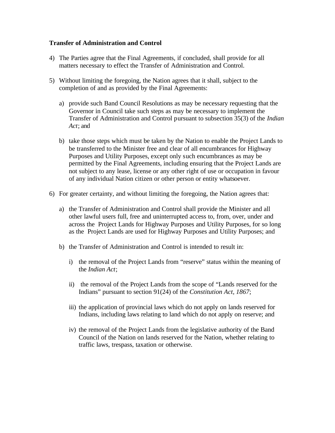### **Transfer of Administration and Control**

- 4) The Parties agree that the Final Agreements, if concluded, shall provide for all matters necessary to effect the Transfer of Administration and Control.
- 5) Without limiting the foregoing, the Nation agrees that it shall, subject to the completion of and as provided by the Final Agreements:
	- a) provide such Band Council Resolutions as may be necessary requesting that the Governor in Council take such steps as may be necessary to implement the Transfer of Administration and Control pursuant to subsection 35(3) of the *Indian Act*; and
	- b) take those steps which must be taken by the Nation to enable the Project Lands to be transferred to the Minister free and clear of all encumbrances for Highway Purposes and Utility Purposes, except only such encumbrances as may be permitted by the Final Agreements, including ensuring that the Project Lands are not subject to any lease, license or any other right of use or occupation in favour of any individual Nation citizen or other person or entity whatsoever.
- 6) For greater certainty, and without limiting the foregoing, the Nation agrees that:
	- a) the Transfer of Administration and Control shall provide the Minister and all other lawful users full, free and uninterrupted access to, from, over, under and across the Project Lands for Highway Purposes and Utility Purposes, for so long as the Project Lands are used for Highway Purposes and Utility Purposes; and
	- b) the Transfer of Administration and Control is intended to result in:
		- i) the removal of the Project Lands from "reserve" status within the meaning of the *Indian Act*;
		- ii) the removal of the Project Lands from the scope of "Lands reserved for the Indians" pursuant to section 91(24) of the *Constitution Act, 1867*;
		- iii) the application of provincial laws which do not apply on lands reserved for Indians, including laws relating to land which do not apply on reserve; and
		- iv) the removal of the Project Lands from the legislative authority of the Band Council of the Nation on lands reserved for the Nation, whether relating to traffic laws, trespass, taxation or otherwise.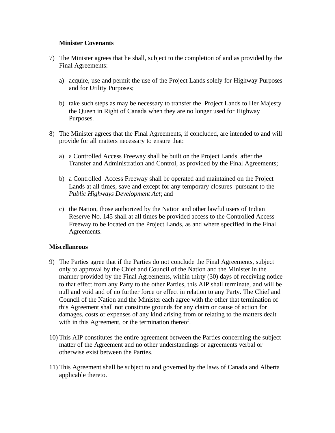### **Minister Covenants**

- 7) The Minister agrees that he shall, subject to the completion of and as provided by the Final Agreements:
	- a) acquire, use and permit the use of the Project Lands solely for Highway Purposes and for Utility Purposes;
	- b) take such steps as may be necessary to transfer the Project Lands to Her Majesty the Queen in Right of Canada when they are no longer used for Highway Purposes.
- 8) The Minister agrees that the Final Agreements, if concluded, are intended to and will provide for all matters necessary to ensure that:
	- a) a Controlled Access Freeway shall be built on the Project Lands after the Transfer and Administration and Control, as provided by the Final Agreements;
	- b) a Controlled Access Freeway shall be operated and maintained on the Project Lands at all times, save and except for any temporary closures pursuant to the *Public Highways Development Act*; and
	- c) the Nation, those authorized by the Nation and other lawful users of Indian Reserve No. 145 shall at all times be provided access to the Controlled Access Freeway to be located on the Project Lands, as and where specified in the Final Agreements.

### **Miscellaneous**

- 9) The Parties agree that if the Parties do not conclude the Final Agreements, subject only to approval by the Chief and Council of the Nation and the Minister in the manner provided by the Final Agreements, within thirty (30) days of receiving notice to that effect from any Party to the other Parties, this AIP shall terminate, and will be null and void and of no further force or effect in relation to any Party. The Chief and Council of the Nation and the Minister each agree with the other that termination of this Agreement shall not constitute grounds for any claim or cause of action for damages, costs or expenses of any kind arising from or relating to the matters dealt with in this Agreement, or the termination thereof.
- 10) This AIP constitutes the entire agreement between the Parties concerning the subject matter of the Agreement and no other understandings or agreements verbal or otherwise exist between the Parties.
- 11) This Agreement shall be subject to and governed by the laws of Canada and Alberta applicable thereto.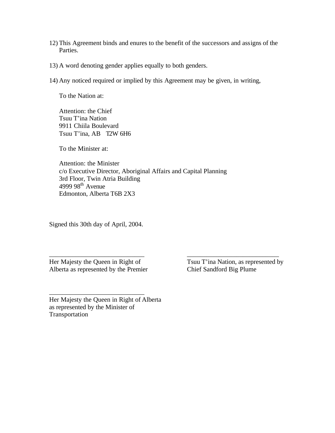- 12) This Agreement binds and enures to the benefit of the successors and assigns of the Parties.
- 13) A word denoting gender applies equally to both genders.
- 14) Any noticed required or implied by this Agreement may be given, in writing,

To the Nation at:

Attention: the Chief Tsuu T'ina Nation 9911 Chiila Boulevard Tsuu T'ina, AB T2W 6H6

To the Minister at:

Attention: the Minister c/o Executive Director, Aboriginal Affairs and Capital Planning 3rd Floor, Twin Atria Building 4999 98<sup>th</sup> Avenue Edmonton, Alberta T6B 2X3

\_\_\_\_\_\_\_\_\_\_\_\_\_\_\_\_\_\_\_\_\_\_\_\_\_\_\_\_\_ \_\_\_\_\_\_\_\_\_\_\_\_\_\_\_\_\_\_\_\_\_\_\_\_\_\_\_\_

Signed this 30th day of April, 2004.

Her Majesty the Queen in Right of Tsuu T'ina Nation, as represented by Alberta as represented by the Premier Chief Sandford Big Plume

\_\_\_\_\_\_\_\_\_\_\_\_\_\_\_\_\_\_\_\_\_\_\_\_\_\_\_\_\_

Her Majesty the Queen in Right of Alberta as represented by the Minister of Transportation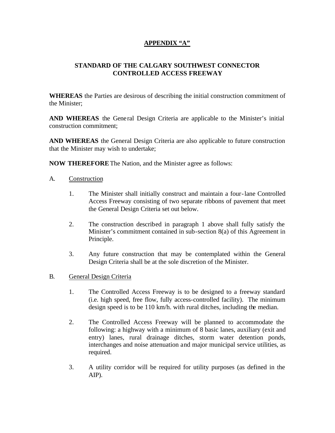## **APPENDIX "A"**

## **STANDARD OF THE CALGARY SOUTHWEST CONNECTOR CONTROLLED ACCESS FREEWAY**

**WHEREAS** the Parties are desirous of describing the initial construction commitment of the Minister;

**AND WHEREAS** the General Design Criteria are applicable to the Minister's initial construction commitment;

**AND WHEREAS** the General Design Criteria are also applicable to future construction that the Minister may wish to undertake;

**NOW THEREFORE** The Nation, and the Minister agree as follows:

- A. Construction
	- 1. The Minister shall initially construct and maintain a four-lane Controlled Access Freeway consisting of two separate ribbons of pavement that meet the General Design Criteria set out below.
	- 2. The construction described in paragraph 1 above shall fully satisfy the Minister's commitment contained in sub-section 8(a) of this Agreement in Principle.
	- 3. Any future construction that may be contemplated within the General Design Criteria shall be at the sole discretion of the Minister.
- B. General Design Criteria
	- 1. The Controlled Access Freeway is to be designed to a freeway standard (i.e. high speed, free flow, fully access-controlled facility). The minimum design speed is to be 110 km/h. with rural ditches, including the median.
	- 2. The Controlled Access Freeway will be planned to accommodate the following: a highway with a minimum of 8 basic lanes, auxiliary (exit and entry) lanes, rural drainage ditches, storm water detention ponds, interchanges and noise attenuation and major municipal service utilities, as required.
	- 3. A utility corridor will be required for utility purposes (as defined in the AIP).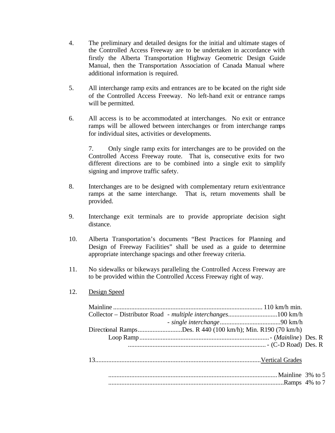- 4. The preliminary and detailed designs for the initial and ultimate stages of the Controlled Access Freeway are to be undertaken in accordance with firstly the Alberta Transportation Highway Geometric Design Guide Manual, then the Transportation Association of Canada Manual where additional information is required.
- 5. All interchange ramp exits and entrances are to be located on the right side of the Controlled Access Freeway. No left-hand exit or entrance ramps will be permitted.
- 6. All access is to be accommodated at interchanges. No exit or entrance ramps will be allowed between interchanges or from interchange ramps for individual sites, activities or developments.

7. Only single ramp exits for interchanges are to be provided on the Controlled Access Freeway route. That is, consecutive exits for two different directions are to be combined into a single exit to simplify signing and improve traffic safety.

- 8. Interchanges are to be designed with complementary return exit/entrance ramps at the same interchange. That is, return movements shall be provided.
- 9. Interchange exit terminals are to provide appropriate decision sight distance.
- 10. Alberta Transportation's documents "Best Practices for Planning and Design of Freeway Facilities" shall be used as a guide to determine appropriate interchange spacings and other freeway criteria.
- 11. No sidewalks or bikeways paralleling the Controlled Access Freeway are to be provided within the Controlled Access Freeway right of way.
- 12. Design Speed

|  | Directional RampsDes. R 440 (100 km/h); Min. R190 (70 km/h) |  |
|--|-------------------------------------------------------------|--|
|  |                                                             |  |
|  |                                                             |  |
|  |                                                             |  |
|  |                                                             |  |
|  |                                                             |  |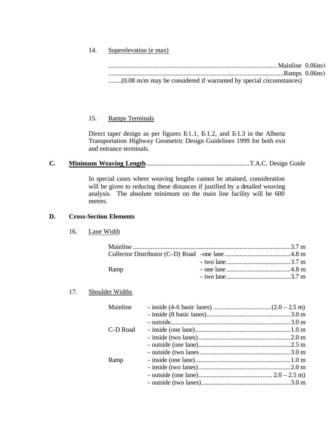### 14. Superelevation (e max)

.......................................................................................................Mainline 0.06m/m ...........................................................................................................Ramps 0.06m/m ........(0.08 m/m may be considered if warranted by special circumstances)

### 15. Ramps Terminals

Direct taper design as per figures  $E1.1$ ,  $E1.2$ , and  $E1.3$  in the Alberta Transportation Highway Geometric Design Guidelines 1999 for both exit and entrance terminals.

# **C. Minimum Weaving Length**...............................................................T.A.C. Design Guide

In special cases where weaving lengths cannot be attained, consideration will be given to reducing these distances if justified by a detailed weaving analysis. The absolute minimum on the main line facility will be 600 metres.

### **D. Cross-Section Elements**

### 16. Lane Width

| Ramp |  |
|------|--|
|      |  |
|      |  |

### 17. Shoulder Widths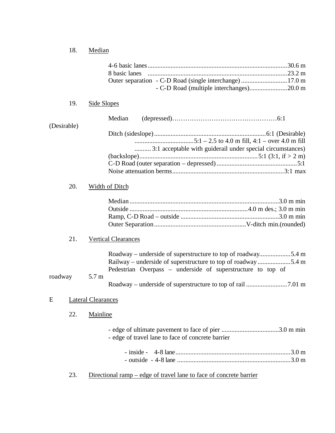# 18. Median

|                                |     |             | 8 basic lanes                                                      |  |
|--------------------------------|-----|-------------|--------------------------------------------------------------------|--|
|                                |     |             | Outer separation - C-D Road (single interchange) 17.0 m            |  |
|                                |     |             |                                                                    |  |
|                                |     |             |                                                                    |  |
|                                | 19. | Side Slopes |                                                                    |  |
| (Desirable)                    |     |             | Median                                                             |  |
|                                |     |             |                                                                    |  |
|                                |     |             |                                                                    |  |
|                                |     |             | 3:1 acceptable with guiderail under special circumstances)         |  |
|                                |     |             |                                                                    |  |
|                                |     |             |                                                                    |  |
|                                |     |             |                                                                    |  |
|                                | 20. |             | Width of Ditch                                                     |  |
|                                |     |             |                                                                    |  |
|                                |     |             |                                                                    |  |
|                                |     |             |                                                                    |  |
|                                |     |             |                                                                    |  |
|                                |     |             |                                                                    |  |
|                                | 21. |             | <b>Vertical Clearances</b>                                         |  |
|                                |     |             | Roadway – underside of superstructure to top of roadway5.4 m       |  |
|                                |     |             | Railway – underside of superstructure to top of roadway5.4 m       |  |
|                                |     |             | Pedestrian Overpass – underside of superstructure to top of        |  |
| roadway                        |     | 5.7 m       |                                                                    |  |
|                                |     |             |                                                                    |  |
| <b>Lateral Clearances</b><br>E |     |             |                                                                    |  |
|                                | 22. | Mainline    |                                                                    |  |
|                                |     |             |                                                                    |  |
|                                |     |             |                                                                    |  |
|                                |     |             | - edge of travel lane to face of concrete barrier                  |  |
|                                |     |             |                                                                    |  |
|                                |     |             |                                                                    |  |
|                                |     |             |                                                                    |  |
|                                | 23. |             | Directional ramp – edge of travel lane to face of concrete barrier |  |